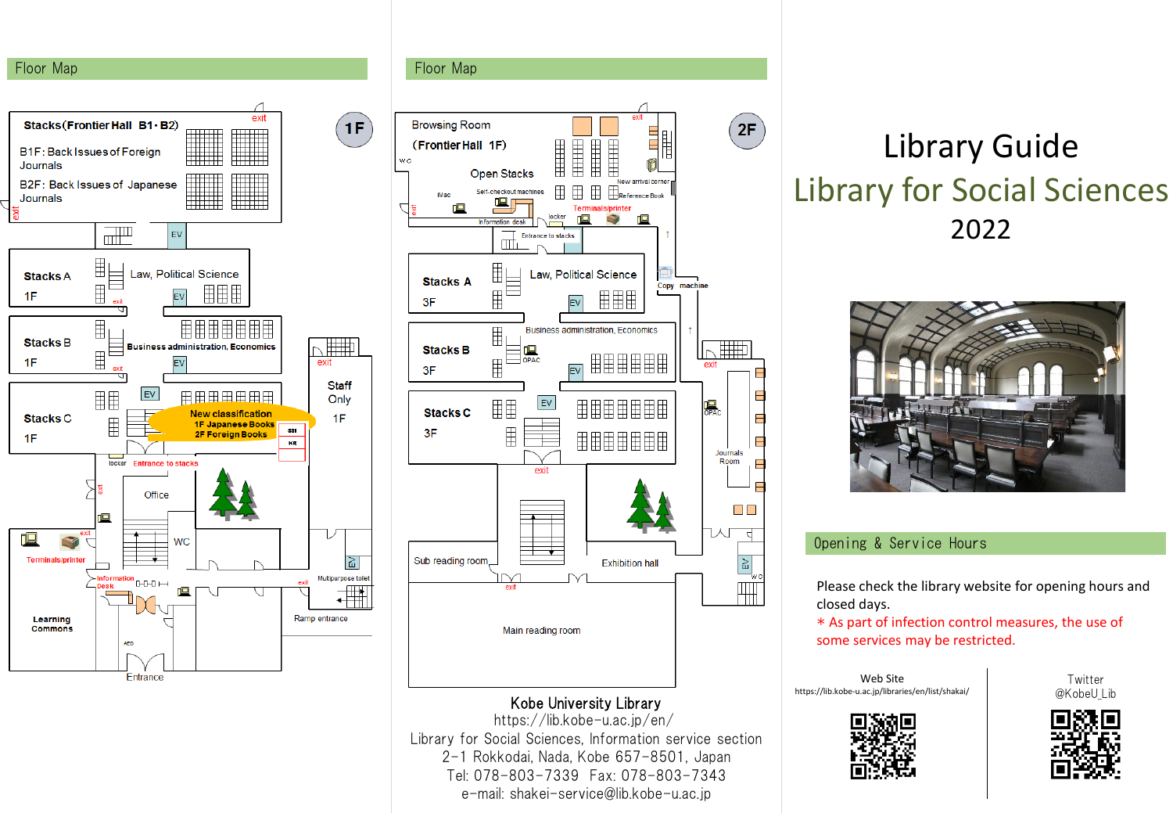#### Floor Map





Library for Social Sciences, Information service section 2-1 Rokkodai, Nada, Kobe 657-8501, Japan Tel: 078-803-7339 Fax: 078-803-7343 e-mail: shakei-service@lib.kobe-u.ac.jp

# Library Guide Library for Social Sciences 2022



#### Opening & Service Hours

Please check the library website for opening hours and closed days.

\* As part of infection control measures, the use of some services may be restricted.

Web Site https://lib.kobe-u.ac.jp/libraries/en/list/shakai/